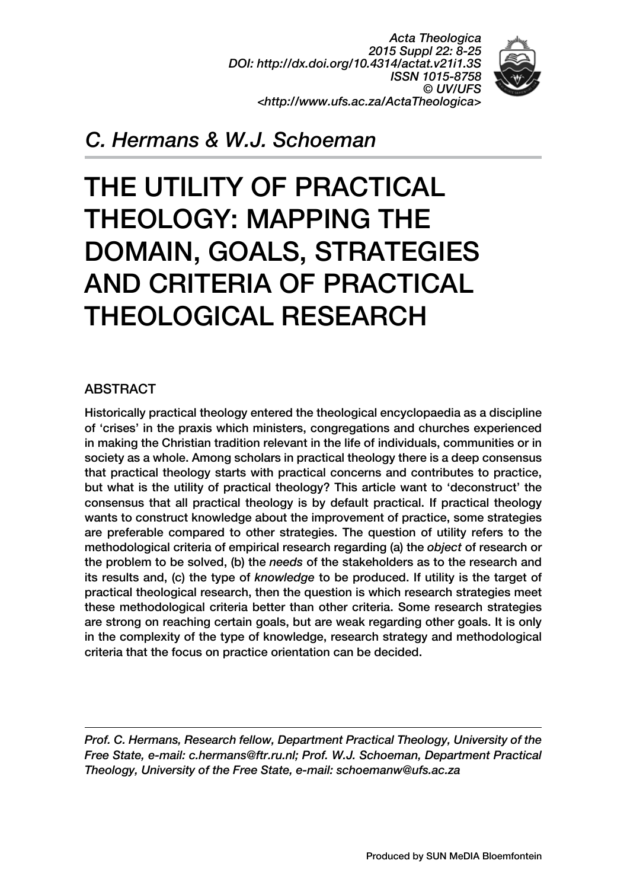

*C. Hermans & W.J. Schoeman* 

# THE UTILITY OF PRACTICAL THEOLOGY: MAPPING THE DOMAIN, GOALS, STRATEGIES AND CRITERIA OF PRACTICAL THEOLOGICAL RESEARCH

### ABSTRACT

Historically practical theology entered the theological encyclopaedia as a discipline of 'crises' in the praxis which ministers, congregations and churches experienced in making the Christian tradition relevant in the life of individuals, communities or in society as a whole. Among scholars in practical theology there is a deep consensus that practical theology starts with practical concerns and contributes to practice, but what is the utility of practical theology? This article want to 'deconstruct' the consensus that all practical theology is by default practical. If practical theology wants to construct knowledge about the improvement of practice, some strategies are preferable compared to other strategies. The question of utility refers to the methodological criteria of empirical research regarding (a) the *object* of research or the problem to be solved, (b) the *needs* of the stakeholders as to the research and its results and, (c) the type of *knowledge* to be produced. If utility is the target of practical theological research, then the question is which research strategies meet these methodological criteria better than other criteria. Some research strategies are strong on reaching certain goals, but are weak regarding other goals. It is only in the complexity of the type of knowledge, research strategy and methodological criteria that the focus on practice orientation can be decided.

*Prof. C. Hermans, Research fellow, Department Practical Theology, University of the Free State, e-mail: c.hermans@ftr.ru.nl; Prof. W.J. Schoeman, Department Practical Theology, University of the Free State, e-mail: schoemanw@ufs.ac.za*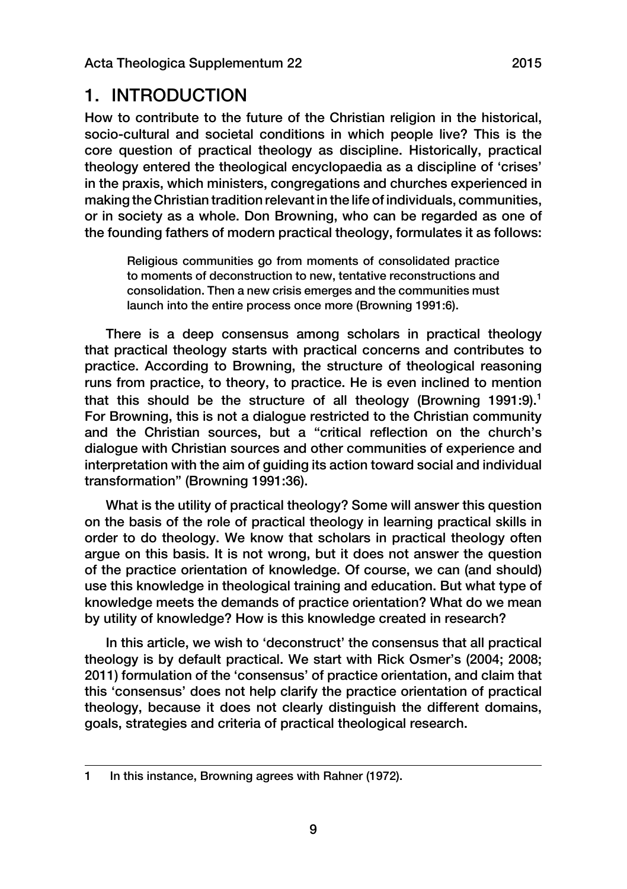### 1. INTRODUCTION

How to contribute to the future of the Christian religion in the historical, socio-cultural and societal conditions in which people live? This is the core question of practical theology as discipline. Historically, practical theology entered the theological encyclopaedia as a discipline of 'crises' in the praxis, which ministers, congregations and churches experienced in making the Christian tradition relevant in the life of individuals, communities, or in society as a whole. Don Browning, who can be regarded as one of the founding fathers of modern practical theology, formulates it as follows:

Religious communities go from moments of consolidated practice to moments of deconstruction to new, tentative reconstructions and consolidation. Then a new crisis emerges and the communities must launch into the entire process once more (Browning 1991:6).

There is a deep consensus among scholars in practical theology that practical theology starts with practical concerns and contributes to practice. According to Browning, the structure of theological reasoning runs from practice, to theory, to practice. He is even inclined to mention that this should be the structure of all theology (Browning 1991:9).<sup>1</sup> For Browning, this is not a dialogue restricted to the Christian community and the Christian sources, but a "critical reflection on the church's dialogue with Christian sources and other communities of experience and interpretation with the aim of guiding its action toward social and individual transformation" (Browning 1991:36).

What is the utility of practical theology? Some will answer this question on the basis of the role of practical theology in learning practical skills in order to do theology. We know that scholars in practical theology often argue on this basis. It is not wrong, but it does not answer the question of the practice orientation of knowledge. Of course, we can (and should) use this knowledge in theological training and education. But what type of knowledge meets the demands of practice orientation? What do we mean by utility of knowledge? How is this knowledge created in research?

In this article, we wish to 'deconstruct' the consensus that all practical theology is by default practical. We start with Rick Osmer's (2004; 2008; 2011) formulation of the 'consensus' of practice orientation, and claim that this 'consensus' does not help clarify the practice orientation of practical theology, because it does not clearly distinguish the different domains, goals, strategies and criteria of practical theological research.

<sup>1</sup> In this instance, Browning agrees with Rahner (1972).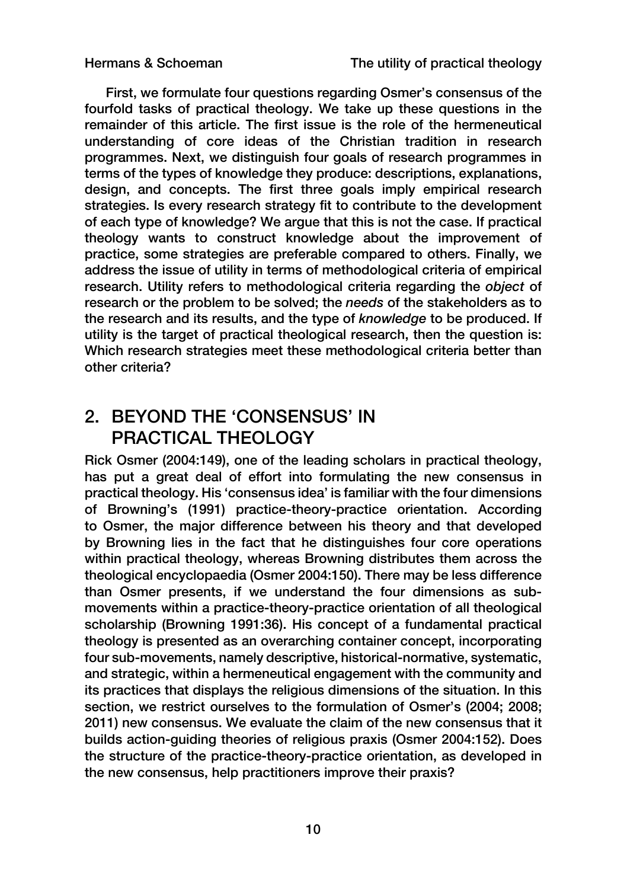First, we formulate four questions regarding Osmer's consensus of the fourfold tasks of practical theology. We take up these questions in the remainder of this article. The first issue is the role of the hermeneutical understanding of core ideas of the Christian tradition in research programmes. Next, we distinguish four goals of research programmes in terms of the types of knowledge they produce: descriptions, explanations, design, and concepts. The first three goals imply empirical research strategies. Is every research strategy fit to contribute to the development of each type of knowledge? We argue that this is not the case. If practical theology wants to construct knowledge about the improvement of practice, some strategies are preferable compared to others. Finally, we address the issue of utility in terms of methodological criteria of empirical research. Utility refers to methodological criteria regarding the *object* of research or the problem to be solved; the *needs* of the stakeholders as to the research and its results, and the type of *knowledge* to be produced. If utility is the target of practical theological research, then the question is: Which research strategies meet these methodological criteria better than other criteria?

### 2. BEYOND THE 'CONSENSUS' IN PRACTICAL THEOLOGY

Rick Osmer (2004:149), one of the leading scholars in practical theology, has put a great deal of effort into formulating the new consensus in practical theology. His 'consensus idea' is familiar with the four dimensions of Browning's (1991) practice-theory-practice orientation. According to Osmer, the major difference between his theory and that developed by Browning lies in the fact that he distinguishes four core operations within practical theology, whereas Browning distributes them across the theological encyclopaedia (Osmer 2004:150). There may be less difference than Osmer presents, if we understand the four dimensions as submovements within a practice-theory-practice orientation of all theological scholarship (Browning 1991:36). His concept of a fundamental practical theology is presented as an overarching container concept, incorporating four sub-movements, namely descriptive, historical-normative, systematic, and strategic, within a hermeneutical engagement with the community and its practices that displays the religious dimensions of the situation. In this section, we restrict ourselves to the formulation of Osmer's (2004; 2008; 2011) new consensus. We evaluate the claim of the new consensus that it builds action-guiding theories of religious praxis (Osmer 2004:152). Does the structure of the practice-theory-practice orientation, as developed in the new consensus, help practitioners improve their praxis?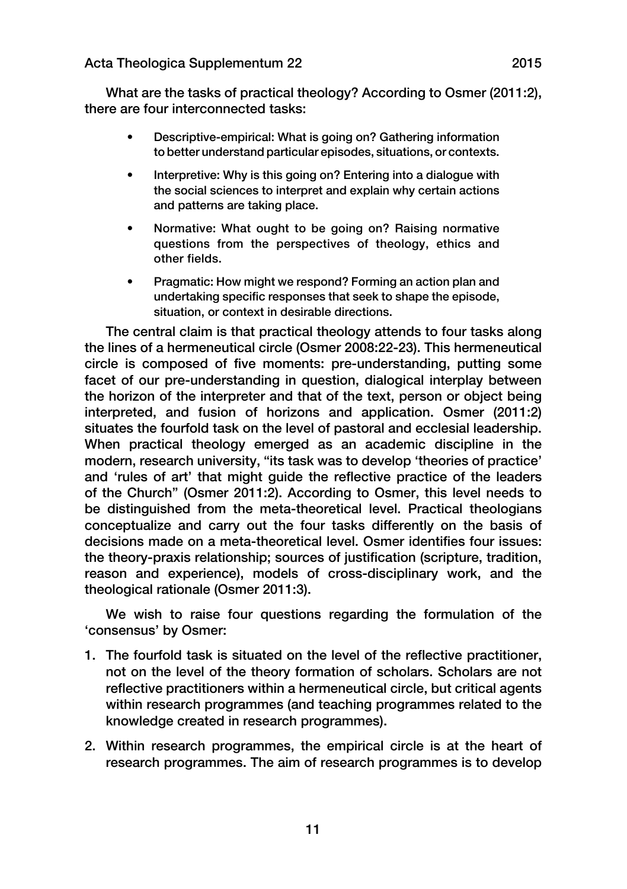What are the tasks of practical theology? According to Osmer (2011:2), there are four interconnected tasks:

- Descriptive-empirical: What is going on? Gathering information to better understand particular episodes, situations, or contexts.
- Interpretive: Why is this going on? Entering into a dialogue with the social sciences to interpret and explain why certain actions and patterns are taking place.
- Normative: What ought to be going on? Raising normative questions from the perspectives of theology, ethics and other fields.
- Pragmatic: How might we respond? Forming an action plan and undertaking specific responses that seek to shape the episode, situation, or context in desirable directions.

The central claim is that practical theology attends to four tasks along the lines of a hermeneutical circle (Osmer 2008:22-23). This hermeneutical circle is composed of five moments: pre-understanding, putting some facet of our pre-understanding in question, dialogical interplay between the horizon of the interpreter and that of the text, person or object being interpreted, and fusion of horizons and application. Osmer (2011:2) situates the fourfold task on the level of pastoral and ecclesial leadership. When practical theology emerged as an academic discipline in the modern, research university, "its task was to develop 'theories of practice' and 'rules of art' that might guide the reflective practice of the leaders of the Church" (Osmer 2011:2). According to Osmer, this level needs to be distinguished from the meta-theoretical level. Practical theologians conceptualize and carry out the four tasks differently on the basis of decisions made on a meta-theoretical level. Osmer identifies four issues: the theory-praxis relationship; sources of justification (scripture, tradition, reason and experience), models of cross-disciplinary work, and the theological rationale (Osmer 2011:3).

We wish to raise four questions regarding the formulation of the 'consensus' by Osmer:

- 1. The fourfold task is situated on the level of the reflective practitioner, not on the level of the theory formation of scholars. Scholars are not reflective practitioners within a hermeneutical circle, but critical agents within research programmes (and teaching programmes related to the knowledge created in research programmes).
- 2. Within research programmes, the empirical circle is at the heart of research programmes. The aim of research programmes is to develop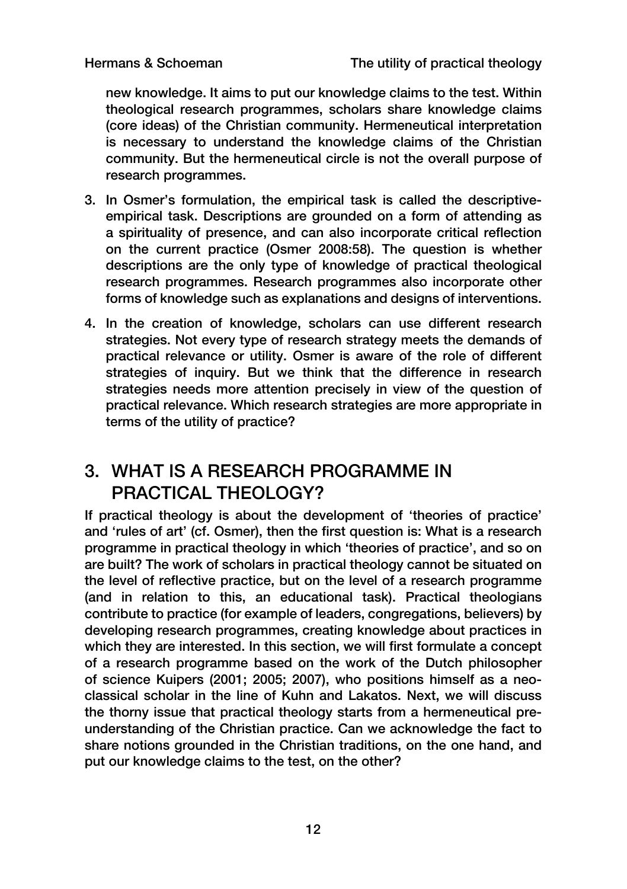new knowledge. It aims to put our knowledge claims to the test. Within theological research programmes, scholars share knowledge claims (core ideas) of the Christian community. Hermeneutical interpretation is necessary to understand the knowledge claims of the Christian community. But the hermeneutical circle is not the overall purpose of research programmes.

- 3. In Osmer's formulation, the empirical task is called the descriptiveempirical task. Descriptions are grounded on a form of attending as a spirituality of presence, and can also incorporate critical reflection on the current practice (Osmer 2008:58). The question is whether descriptions are the only type of knowledge of practical theological research programmes. Research programmes also incorporate other forms of knowledge such as explanations and designs of interventions.
- 4. In the creation of knowledge, scholars can use different research strategies. Not every type of research strategy meets the demands of practical relevance or utility. Osmer is aware of the role of different strategies of inquiry. But we think that the difference in research strategies needs more attention precisely in view of the question of practical relevance. Which research strategies are more appropriate in terms of the utility of practice?

## 3. WHAT IS A RESEARCH PROGRAMME IN PRACTICAL THEOLOGY?

If practical theology is about the development of 'theories of practice' and 'rules of art' (cf. Osmer), then the first question is: What is a research programme in practical theology in which 'theories of practice', and so on are built? The work of scholars in practical theology cannot be situated on the level of reflective practice, but on the level of a research programme (and in relation to this, an educational task). Practical theologians contribute to practice (for example of leaders, congregations, believers) by developing research programmes, creating knowledge about practices in which they are interested. In this section, we will first formulate a concept of a research programme based on the work of the Dutch philosopher of science Kuipers (2001; 2005; 2007), who positions himself as a neoclassical scholar in the line of Kuhn and Lakatos. Next, we will discuss the thorny issue that practical theology starts from a hermeneutical preunderstanding of the Christian practice. Can we acknowledge the fact to share notions grounded in the Christian traditions, on the one hand, and put our knowledge claims to the test, on the other?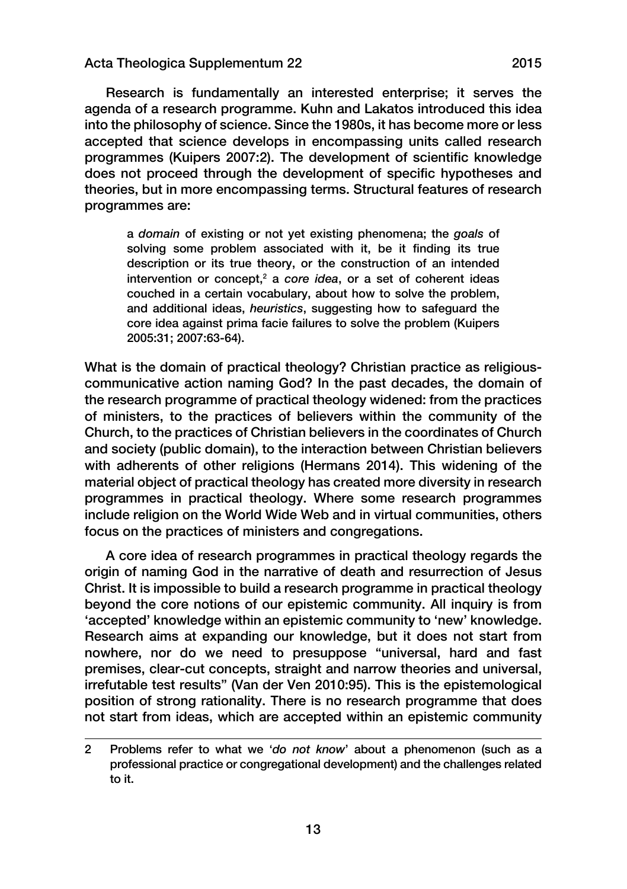#### Acta Theologica Supplementum 22 2015

Research is fundamentally an interested enterprise; it serves the agenda of a research programme. Kuhn and Lakatos introduced this idea into the philosophy of science. Since the 1980s, it has become more or less accepted that science develops in encompassing units called research programmes (Kuipers 2007:2). The development of scientific knowledge does not proceed through the development of specific hypotheses and theories, but in more encompassing terms. Structural features of research programmes are:

a *domain* of existing or not yet existing phenomena; the *goals* of solving some problem associated with it, be it finding its true description or its true theory, or the construction of an intended intervention or concept,<sup>2</sup> a *core idea*, or a set of coherent ideas couched in a certain vocabulary, about how to solve the problem, and additional ideas, *heuristics*, suggesting how to safeguard the core idea against prima facie failures to solve the problem (Kuipers 2005:31; 2007:63-64).

What is the domain of practical theology? Christian practice as religiouscommunicative action naming God? In the past decades, the domain of the research programme of practical theology widened: from the practices of ministers, to the practices of believers within the community of the Church, to the practices of Christian believers in the coordinates of Church and society (public domain), to the interaction between Christian believers with adherents of other religions (Hermans 2014). This widening of the material object of practical theology has created more diversity in research programmes in practical theology. Where some research programmes include religion on the World Wide Web and in virtual communities, others focus on the practices of ministers and congregations.

A core idea of research programmes in practical theology regards the origin of naming God in the narrative of death and resurrection of Jesus Christ. It is impossible to build a research programme in practical theology beyond the core notions of our epistemic community. All inquiry is from 'accepted' knowledge within an epistemic community to 'new' knowledge. Research aims at expanding our knowledge, but it does not start from nowhere, nor do we need to presuppose "universal, hard and fast premises, clear-cut concepts, straight and narrow theories and universal, irrefutable test results" (Van der Ven 2010:95). This is the epistemological position of strong rationality. There is no research programme that does not start from ideas, which are accepted within an epistemic community

<sup>2</sup> Problems refer to what we '*do not know*' about a phenomenon (such as a professional practice or congregational development) and the challenges related to it.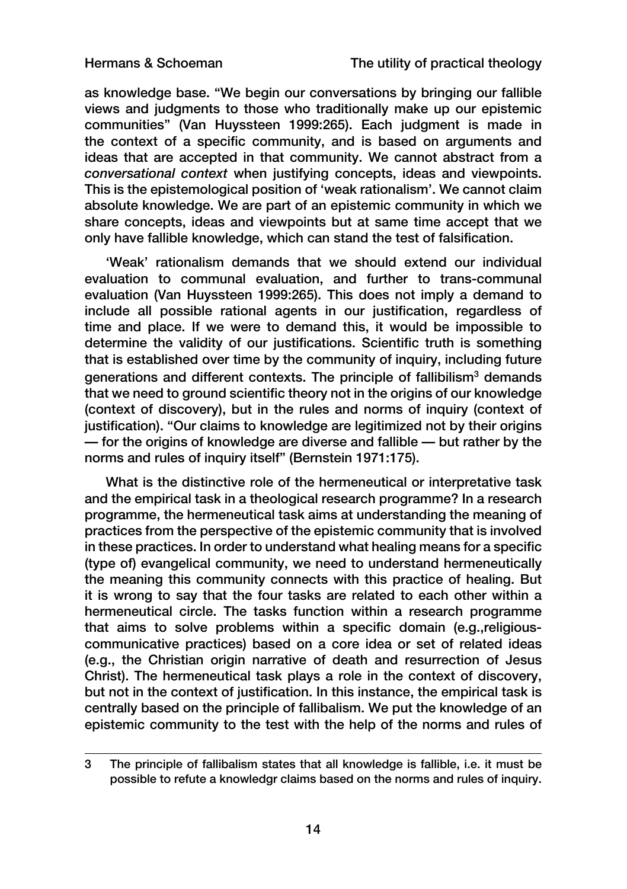as knowledge base. "We begin our conversations by bringing our fallible views and judgments to those who traditionally make up our epistemic communities" (Van Huyssteen 1999:265). Each judgment is made in the context of a specific community, and is based on arguments and ideas that are accepted in that community. We cannot abstract from a *conversational context* when justifying concepts, ideas and viewpoints. This is the epistemological position of 'weak rationalism'. We cannot claim absolute knowledge. We are part of an epistemic community in which we share concepts, ideas and viewpoints but at same time accept that we only have fallible knowledge, which can stand the test of falsification.

'Weak' rationalism demands that we should extend our individual evaluation to communal evaluation, and further to trans-communal evaluation (Van Huyssteen 1999:265). This does not imply a demand to include all possible rational agents in our justification, regardless of time and place. If we were to demand this, it would be impossible to determine the validity of our justifications. Scientific truth is something that is established over time by the community of inquiry, including future generations and different contexts. The principle of fallibilism<sup>3</sup> demands that we need to ground scientific theory not in the origins of our knowledge (context of discovery), but in the rules and norms of inquiry (context of justification). "Our claims to knowledge are legitimized not by their origins — for the origins of knowledge are diverse and fallible — but rather by the norms and rules of inquiry itself" (Bernstein 1971:175).

What is the distinctive role of the hermeneutical or interpretative task and the empirical task in a theological research programme? In a research programme, the hermeneutical task aims at understanding the meaning of practices from the perspective of the epistemic community that is involved in these practices. In order to understand what healing means for a specific (type of) evangelical community, we need to understand hermeneutically the meaning this community connects with this practice of healing. But it is wrong to say that the four tasks are related to each other within a hermeneutical circle. The tasks function within a research programme that aims to solve problems within a specific domain (e.g.,religiouscommunicative practices) based on a core idea or set of related ideas (e.g., the Christian origin narrative of death and resurrection of Jesus Christ). The hermeneutical task plays a role in the context of discovery, but not in the context of justification. In this instance, the empirical task is centrally based on the principle of fallibalism. We put the knowledge of an epistemic community to the test with the help of the norms and rules of

<sup>3</sup> The principle of fallibalism states that all knowledge is fallible, i.e. it must be possible to refute a knowledgr claims based on the norms and rules of inquiry.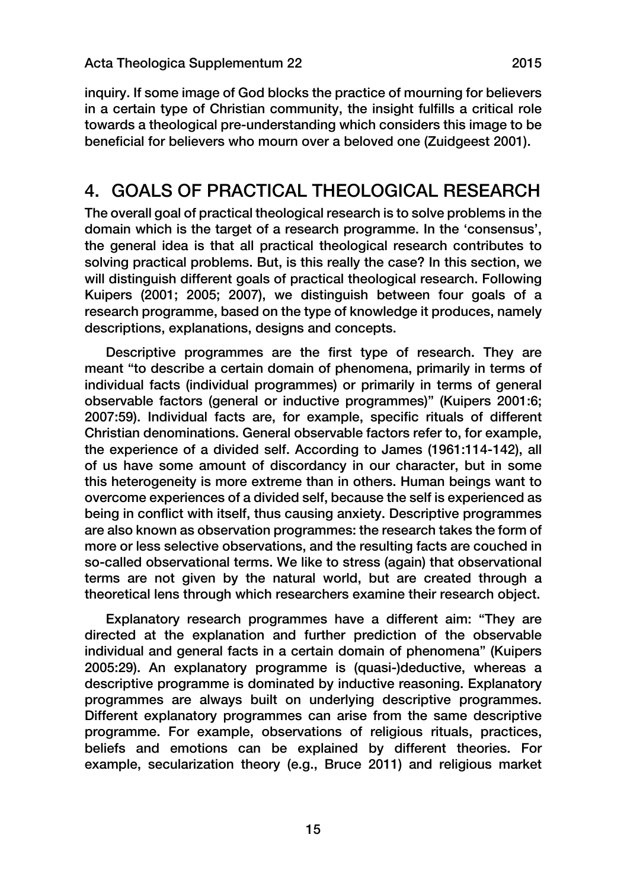inquiry. If some image of God blocks the practice of mourning for believers in a certain type of Christian community, the insight fulfills a critical role towards a theological pre-understanding which considers this image to be beneficial for believers who mourn over a beloved one (Zuidgeest 2001).

## 4. GOALS OF PRACTICAL THEOLOGICAL RESEARCH

The overall goal of practical theological research is to solve problems in the domain which is the target of a research programme. In the 'consensus', the general idea is that all practical theological research contributes to solving practical problems. But, is this really the case? In this section, we will distinguish different goals of practical theological research. Following Kuipers (2001; 2005; 2007), we distinguish between four goals of a research programme, based on the type of knowledge it produces, namely descriptions, explanations, designs and concepts.

Descriptive programmes are the first type of research. They are meant "to describe a certain domain of phenomena, primarily in terms of individual facts (individual programmes) or primarily in terms of general observable factors (general or inductive programmes)" (Kuipers 2001:6; 2007:59). Individual facts are, for example, specific rituals of different Christian denominations. General observable factors refer to, for example, the experience of a divided self. According to James (1961:114-142), all of us have some amount of discordancy in our character, but in some this heterogeneity is more extreme than in others. Human beings want to overcome experiences of a divided self, because the self is experienced as being in conflict with itself, thus causing anxiety. Descriptive programmes are also known as observation programmes: the research takes the form of more or less selective observations, and the resulting facts are couched in so-called observational terms. We like to stress (again) that observational terms are not given by the natural world, but are created through a theoretical lens through which researchers examine their research object.

Explanatory research programmes have a different aim: "They are directed at the explanation and further prediction of the observable individual and general facts in a certain domain of phenomena" (Kuipers 2005:29). An explanatory programme is (quasi-)deductive, whereas a descriptive programme is dominated by inductive reasoning. Explanatory programmes are always built on underlying descriptive programmes. Different explanatory programmes can arise from the same descriptive programme. For example, observations of religious rituals, practices, beliefs and emotions can be explained by different theories. For example, secularization theory (e.g., Bruce 2011) and religious market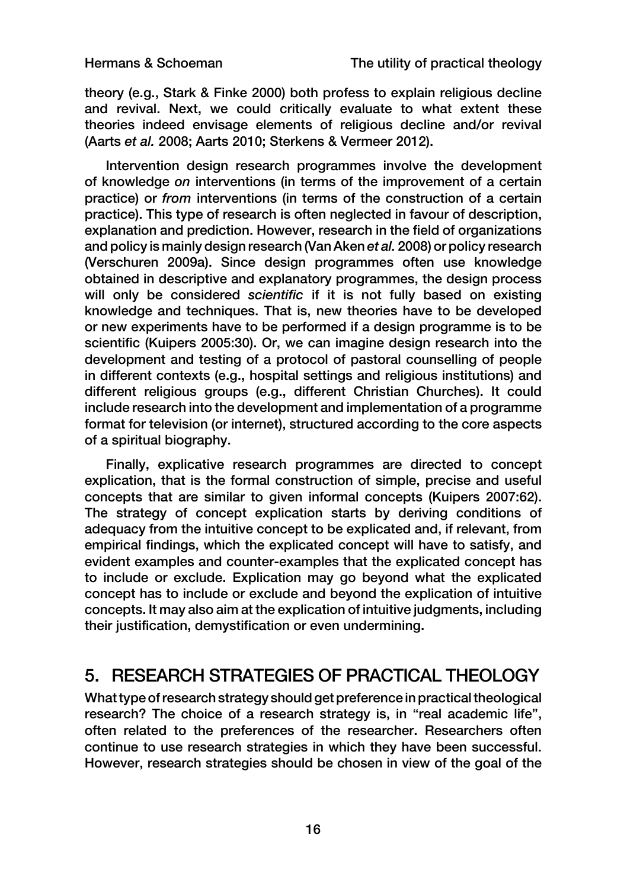theory (e.g., Stark & Finke 2000) both profess to explain religious decline and revival. Next, we could critically evaluate to what extent these theories indeed envisage elements of religious decline and/or revival (Aarts *et al.* 2008; Aarts 2010; Sterkens & Vermeer 2012).

Intervention design research programmes involve the development of knowledge *on* interventions (in terms of the improvement of a certain practice) or *from* interventions (in terms of the construction of a certain practice). This type of research is often neglected in favour of description, explanation and prediction. However, research in the field of organizations and policy is mainly design research (Van Aken *et al.* 2008) or policy research (Verschuren 2009a). Since design programmes often use knowledge obtained in descriptive and explanatory programmes, the design process will only be considered *scientific* if it is not fully based on existing knowledge and techniques. That is, new theories have to be developed or new experiments have to be performed if a design programme is to be scientific (Kuipers 2005:30). Or, we can imagine design research into the development and testing of a protocol of pastoral counselling of people in different contexts (e.g., hospital settings and religious institutions) and different religious groups (e.g., different Christian Churches). It could include research into the development and implementation of a programme format for television (or internet), structured according to the core aspects of a spiritual biography.

Finally, explicative research programmes are directed to concept explication, that is the formal construction of simple, precise and useful concepts that are similar to given informal concepts (Kuipers 2007:62). The strategy of concept explication starts by deriving conditions of adequacy from the intuitive concept to be explicated and, if relevant, from empirical findings, which the explicated concept will have to satisfy, and evident examples and counter-examples that the explicated concept has to include or exclude. Explication may go beyond what the explicated concept has to include or exclude and beyond the explication of intuitive concepts. It may also aim at the explication of intuitive judgments, including their justification, demystification or even undermining.

### 5. RESEARCH STRATEGIES OF PRACTICAL THEOLOGY

What type of research strategy should get preference in practical theological research? The choice of a research strategy is, in "real academic life", often related to the preferences of the researcher. Researchers often continue to use research strategies in which they have been successful. However, research strategies should be chosen in view of the goal of the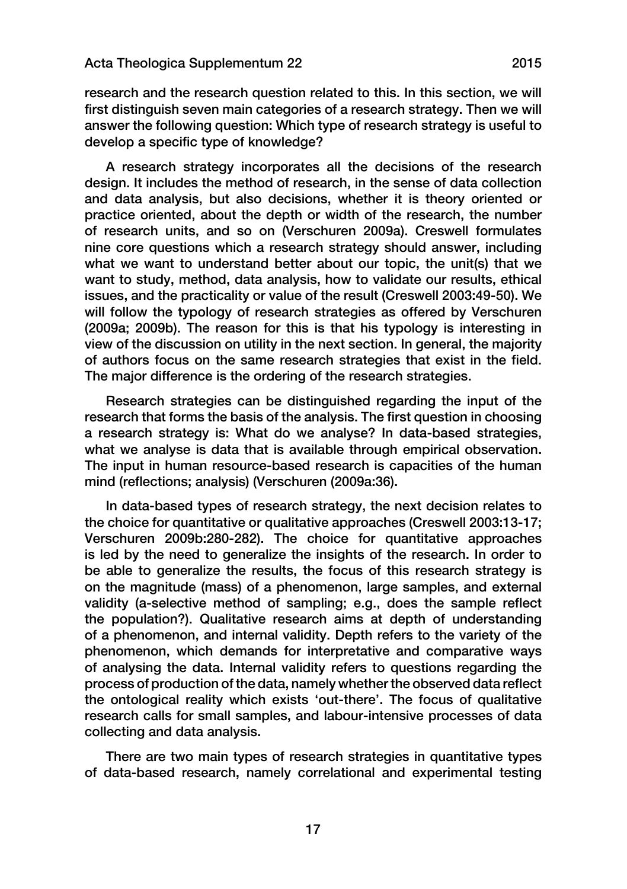research and the research question related to this. In this section, we will first distinguish seven main categories of a research strategy. Then we will answer the following question: Which type of research strategy is useful to develop a specific type of knowledge?

A research strategy incorporates all the decisions of the research design. It includes the method of research, in the sense of data collection and data analysis, but also decisions, whether it is theory oriented or practice oriented, about the depth or width of the research, the number of research units, and so on (Verschuren 2009a). Creswell formulates nine core questions which a research strategy should answer, including what we want to understand better about our topic, the unit(s) that we want to study, method, data analysis, how to validate our results, ethical issues, and the practicality or value of the result (Creswell 2003:49-50). We will follow the typology of research strategies as offered by Verschuren (2009a; 2009b). The reason for this is that his typology is interesting in view of the discussion on utility in the next section. In general, the majority of authors focus on the same research strategies that exist in the field. The major difference is the ordering of the research strategies.

Research strategies can be distinguished regarding the input of the research that forms the basis of the analysis. The first question in choosing a research strategy is: What do we analyse? In data-based strategies, what we analyse is data that is available through empirical observation. The input in human resource-based research is capacities of the human mind (reflections; analysis) (Verschuren (2009a:36).

In data-based types of research strategy, the next decision relates to the choice for quantitative or qualitative approaches (Creswell 2003:13-17; Verschuren 2009b:280-282). The choice for quantitative approaches is led by the need to generalize the insights of the research. In order to be able to generalize the results, the focus of this research strategy is on the magnitude (mass) of a phenomenon, large samples, and external validity (a-selective method of sampling; e.g., does the sample reflect the population?). Qualitative research aims at depth of understanding of a phenomenon, and internal validity. Depth refers to the variety of the phenomenon, which demands for interpretative and comparative ways of analysing the data. Internal validity refers to questions regarding the process of production of the data, namely whether the observed data reflect the ontological reality which exists 'out-there'. The focus of qualitative research calls for small samples, and labour-intensive processes of data collecting and data analysis.

There are two main types of research strategies in quantitative types of data-based research, namely correlational and experimental testing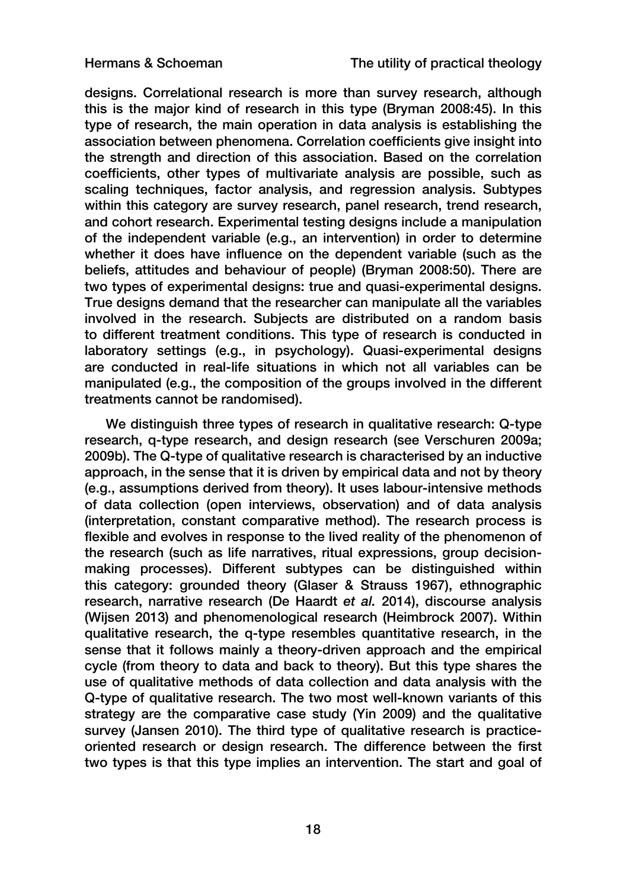designs. Correlational research is more than survey research, although this is the major kind of research in this type (Bryman 2008:45). In this type of research, the main operation in data analysis is establishing the association between phenomena. Correlation coefficients give insight into the strength and direction of this association. Based on the correlation coefficients, other types of multivariate analysis are possible, such as scaling techniques, factor analysis, and regression analysis. Subtypes within this category are survey research, panel research, trend research, and cohort research. Experimental testing designs include a manipulation of the independent variable (e.g., an intervention) in order to determine whether it does have influence on the dependent variable (such as the beliefs, attitudes and behaviour of people) (Bryman 2008:50). There are two types of experimental designs: true and quasi-experimental designs. True designs demand that the researcher can manipulate all the variables involved in the research. Subjects are distributed on a random basis to different treatment conditions. This type of research is conducted in laboratory settings (e.g., in psychology). Quasi-experimental designs are conducted in real-life situations in which not all variables can be manipulated (e.g., the composition of the groups involved in the different treatments cannot be randomised).

We distinguish three types of research in qualitative research: Q-type research, q-type research, and design research (see Verschuren 2009a; 2009b). The Q-type of qualitative research is characterised by an inductive approach, in the sense that it is driven by empirical data and not by theory (e.g., assumptions derived from theory). It uses labour-intensive methods of data collection (open interviews, observation) and of data analysis (interpretation, constant comparative method). The research process is flexible and evolves in response to the lived reality of the phenomenon of the research (such as life narratives, ritual expressions, group decisionmaking processes). Different subtypes can be distinguished within this category: grounded theory (Glaser & Strauss 1967), ethnographic research, narrative research (De Haardt *et al.* 2014), discourse analysis (Wijsen 2013) and phenomenological research (Heimbrock 2007). Within qualitative research, the q-type resembles quantitative research, in the sense that it follows mainly a theory-driven approach and the empirical cycle (from theory to data and back to theory). But this type shares the use of qualitative methods of data collection and data analysis with the Q-type of qualitative research. The two most well-known variants of this strategy are the comparative case study (Yin 2009) and the qualitative survey (Jansen 2010). The third type of qualitative research is practiceoriented research or design research. The difference between the first two types is that this type implies an intervention. The start and goal of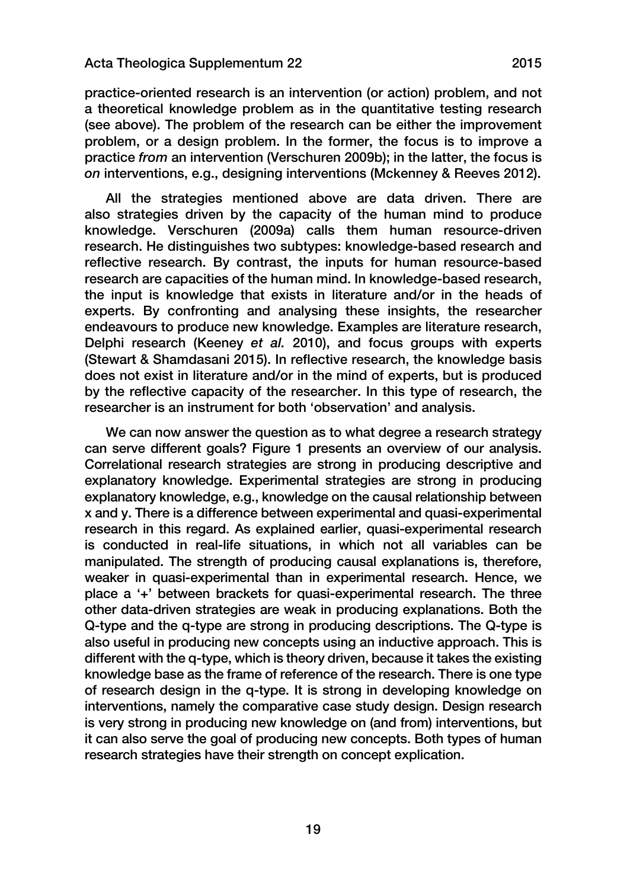practice-oriented research is an intervention (or action) problem, and not a theoretical knowledge problem as in the quantitative testing research (see above). The problem of the research can be either the improvement problem, or a design problem. In the former, the focus is to improve a practice *from* an intervention (Verschuren 2009b); in the latter, the focus is *on* interventions, e.g., designing interventions (Mckenney & Reeves 2012).

All the strategies mentioned above are data driven. There are also strategies driven by the capacity of the human mind to produce knowledge. Verschuren (2009a) calls them human resource-driven research. He distinguishes two subtypes: knowledge-based research and reflective research. By contrast, the inputs for human resource-based research are capacities of the human mind. In knowledge-based research, the input is knowledge that exists in literature and/or in the heads of experts. By confronting and analysing these insights, the researcher endeavours to produce new knowledge. Examples are literature research, Delphi research (Keeney *et al.* 2010), and focus groups with experts (Stewart & Shamdasani 2015). In reflective research, the knowledge basis does not exist in literature and/or in the mind of experts, but is produced by the reflective capacity of the researcher. In this type of research, the researcher is an instrument for both 'observation' and analysis.

We can now answer the question as to what degree a research strategy can serve different goals? Figure 1 presents an overview of our analysis. Correlational research strategies are strong in producing descriptive and explanatory knowledge. Experimental strategies are strong in producing explanatory knowledge, e.g., knowledge on the causal relationship between x and y. There is a difference between experimental and quasi-experimental research in this regard. As explained earlier, quasi-experimental research is conducted in real-life situations, in which not all variables can be manipulated. The strength of producing causal explanations is, therefore, weaker in quasi-experimental than in experimental research. Hence, we place a '+' between brackets for quasi-experimental research. The three other data-driven strategies are weak in producing explanations. Both the Q-type and the q-type are strong in producing descriptions. The Q-type is also useful in producing new concepts using an inductive approach. This is different with the q-type, which is theory driven, because it takes the existing knowledge base as the frame of reference of the research. There is one type of research design in the q-type. It is strong in developing knowledge on interventions, namely the comparative case study design. Design research is very strong in producing new knowledge on (and from) interventions, but it can also serve the goal of producing new concepts. Both types of human research strategies have their strength on concept explication.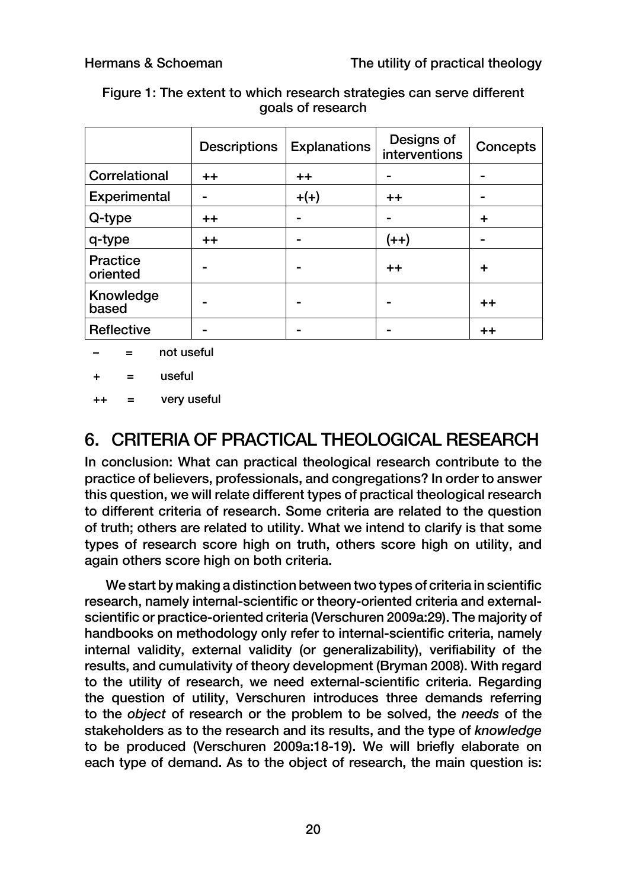|                      | <b>Descriptions</b> | <b>Explanations</b> | Designs of<br>interventions | Concepts        |
|----------------------|---------------------|---------------------|-----------------------------|-----------------|
| Correlational        | $++$                | $^{\mathrm{+}}$     |                             |                 |
| <b>Experimental</b>  |                     | $+(+)$              | $++$                        |                 |
| Q-type               | $++$                |                     |                             | ٠               |
| q-type               | $++$                |                     | (++)                        |                 |
| Practice<br>oriented |                     |                     | $++$                        |                 |
| Knowledge<br>based   |                     |                     |                             | $^{\mathrm{+}}$ |
| Reflective           |                     |                     |                             | ++              |

Figure 1: The extent to which research strategies can serve different goals of research

 $=$  not useful

 $=$  useful

++ = very useful

### 6. CRITERIA OF PRACTICAL THEOLOGICAL RESEARCH

In conclusion: What can practical theological research contribute to the practice of believers, professionals, and congregations? In order to answer this question, we will relate different types of practical theological research to different criteria of research. Some criteria are related to the question of truth; others are related to utility. What we intend to clarify is that some types of research score high on truth, others score high on utility, and again others score high on both criteria.

We start by making a distinction between two types of criteria in scientific research, namely internal-scientific or theory-oriented criteria and externalscientific or practice-oriented criteria (Verschuren 2009a:29). The majority of handbooks on methodology only refer to internal-scientific criteria, namely internal validity, external validity (or generalizability), verifiability of the results, and cumulativity of theory development (Bryman 2008). With regard to the utility of research, we need external-scientific criteria. Regarding the question of utility, Verschuren introduces three demands referring to the *object* of research or the problem to be solved, the *needs* of the stakeholders as to the research and its results, and the type of *knowledge* to be produced (Verschuren 2009a:18-19). We will briefly elaborate on each type of demand. As to the object of research, the main question is: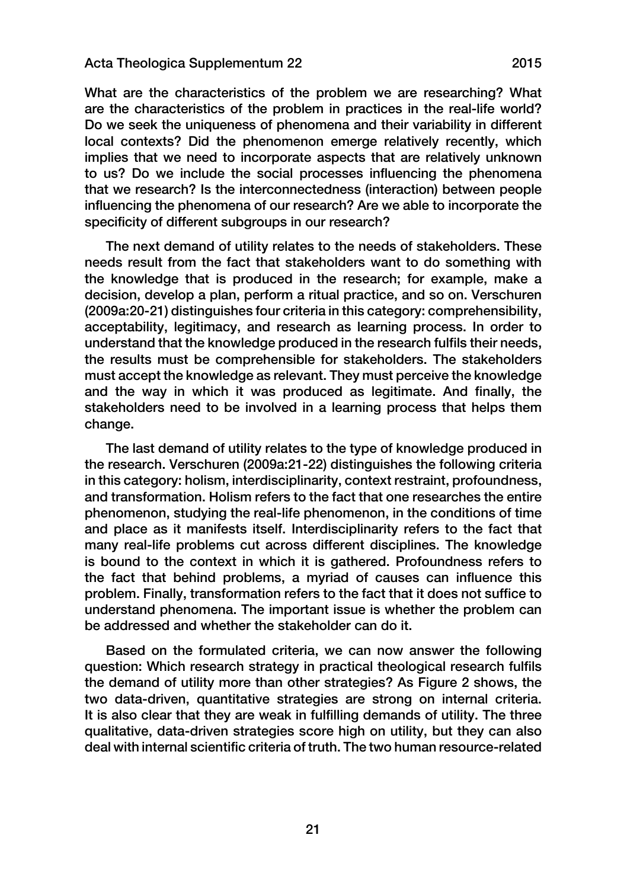What are the characteristics of the problem we are researching? What are the characteristics of the problem in practices in the real-life world? Do we seek the uniqueness of phenomena and their variability in different local contexts? Did the phenomenon emerge relatively recently, which implies that we need to incorporate aspects that are relatively unknown to us? Do we include the social processes influencing the phenomena that we research? Is the interconnectedness (interaction) between people influencing the phenomena of our research? Are we able to incorporate the specificity of different subgroups in our research?

The next demand of utility relates to the needs of stakeholders. These needs result from the fact that stakeholders want to do something with the knowledge that is produced in the research; for example, make a decision, develop a plan, perform a ritual practice, and so on. Verschuren (2009a:20-21) distinguishes four criteria in this category: comprehensibility, acceptability, legitimacy, and research as learning process. In order to understand that the knowledge produced in the research fulfils their needs, the results must be comprehensible for stakeholders. The stakeholders must accept the knowledge as relevant. They must perceive the knowledge and the way in which it was produced as legitimate. And finally, the stakeholders need to be involved in a learning process that helps them change.

The last demand of utility relates to the type of knowledge produced in the research. Verschuren (2009a:21-22) distinguishes the following criteria in this category: holism, interdisciplinarity, context restraint, profoundness, and transformation. Holism refers to the fact that one researches the entire phenomenon, studying the real-life phenomenon, in the conditions of time and place as it manifests itself. Interdisciplinarity refers to the fact that many real-life problems cut across different disciplines. The knowledge is bound to the context in which it is gathered. Profoundness refers to the fact that behind problems, a myriad of causes can influence this problem. Finally, transformation refers to the fact that it does not suffice to understand phenomena. The important issue is whether the problem can be addressed and whether the stakeholder can do it.

Based on the formulated criteria, we can now answer the following question: Which research strategy in practical theological research fulfils the demand of utility more than other strategies? As Figure 2 shows, the two data-driven, quantitative strategies are strong on internal criteria. It is also clear that they are weak in fulfilling demands of utility. The three qualitative, data-driven strategies score high on utility, but they can also deal with internal scientific criteria of truth. The two human resource-related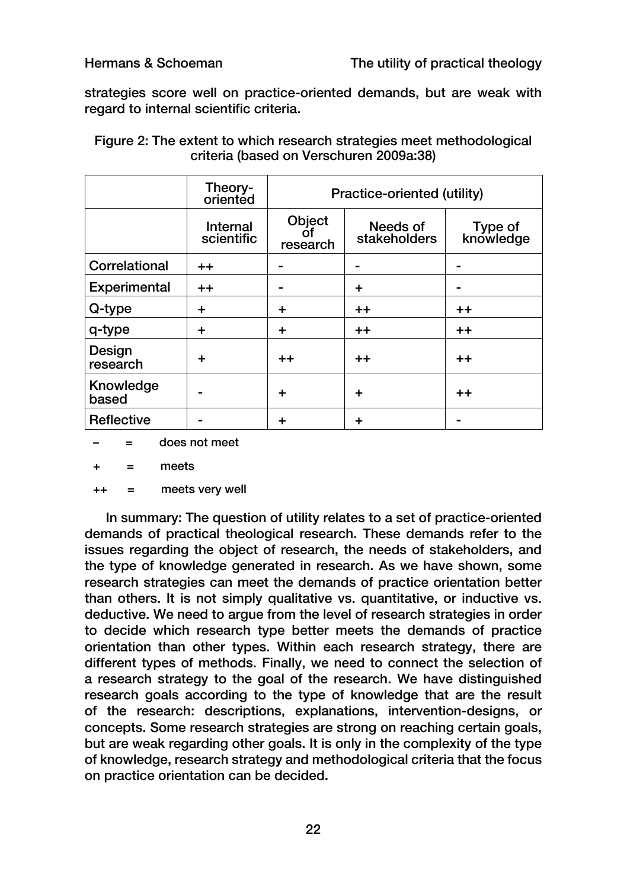strategies score well on practice-oriented demands, but are weak with regard to internal scientific criteria.

|                     | Theory-<br>oriented    | Practice-oriented (utility) |                          |                      |
|---------------------|------------------------|-----------------------------|--------------------------|----------------------|
|                     | Internal<br>scientific | Object<br>οt<br>research    | Needs of<br>stakeholders | Type of<br>knowledge |
| Correlational       | $+ +$                  |                             | -                        |                      |
| <b>Experimental</b> | $^{\mathrm{+}}$        |                             | ٠                        |                      |
| Q-type              | ٠                      | ٠                           | $^{\mathrm{+}}$          | $^{\mathrm{+}}$      |
| q-type              | ÷                      | ÷                           | $^{\mathrm{+}}$          | $^{\mathrm{+}}$      |
| Design<br>research  | ÷                      | $+ +$                       | $^{\mathrm{+}}$          | $^{\mathrm{+}}$      |
| Knowledge<br>based  |                        | ٠                           | ÷                        | ++                   |
| Reflective          |                        | ٠                           | ٠                        |                      |

| Figure 2: The extent to which research strategies meet methodological |
|-----------------------------------------------------------------------|
| criteria (based on Verschuren 2009a:38)                               |

 $=$  does not meet

 $=$  meets

++ = meets very well

In summary: The question of utility relates to a set of practice-oriented demands of practical theological research. These demands refer to the issues regarding the object of research, the needs of stakeholders, and the type of knowledge generated in research. As we have shown, some research strategies can meet the demands of practice orientation better than others. It is not simply qualitative vs. quantitative, or inductive vs. deductive. We need to argue from the level of research strategies in order to decide which research type better meets the demands of practice orientation than other types. Within each research strategy, there are different types of methods. Finally, we need to connect the selection of a research strategy to the goal of the research. We have distinguished research goals according to the type of knowledge that are the result of the research: descriptions, explanations, intervention-designs, or concepts. Some research strategies are strong on reaching certain goals, but are weak regarding other goals. It is only in the complexity of the type of knowledge, research strategy and methodological criteria that the focus on practice orientation can be decided.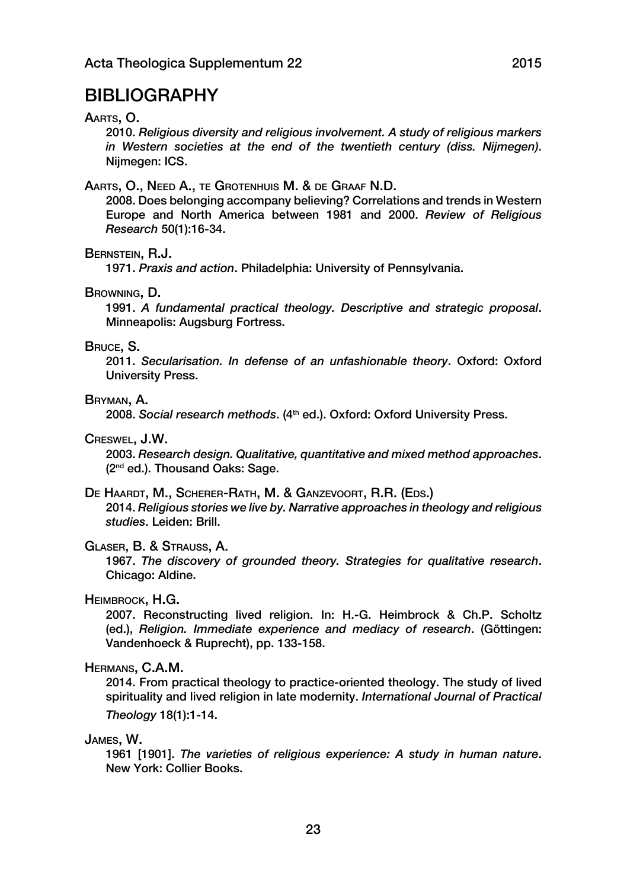### BIBLIOGRAPHY

### Aarts, O.

2010. *Religious diversity and religious involvement. A study of religious markers in Western societies at the end of the twentieth century (diss. Nijmegen)*. Niimegen: ICS.

#### Aarts, O., Need A., te Grotenhuis M. & de Graaf N.D.

2008. Does belonging accompany believing? Correlations and trends in Western Europe and North America between 1981 and 2000. *Review of Religious Research* 50(1):16-34.

#### Bernstein, R.J.

1971. *Praxis and action*. Philadelphia: University of Pennsylvania.

#### Browning, D.

1991. *A fundamental practical theology. Descriptive and strategic proposal*. Minneapolis: Augsburg Fortress.

#### Bruce, S.

2011. *Secularisation. In defense of an unfashionable theory*. Oxford: Oxford University Press.

#### Bryman, A.

2008. *Social research methods*. (4<sup>th</sup> ed.). Oxford: Oxford University Press.

#### Creswel, J.W.

2003. *Research design. Qualitative, quantitative and mixed method approaches*. (2nd ed.). Thousand Oaks: Sage.

#### De Haardt, M., Scherer-Rath, M. & Ganzevoort, R.R. (Eds.)

2014. *Religious stories we live by. Narrative approaches in theology and religious studies*. Leiden: Brill.

#### Glaser, B. & Strauss, A.

1967. *The discovery of grounded theory. Strategies for qualitative research*. Chicago: Aldine.

#### Heimbrock, H.G.

2007. Reconstructing lived religion. In: H.-G. Heimbrock & Ch.P. Scholtz (ed.), *Religion. Immediate experience and mediacy of research*. (Göttingen: Vandenhoeck & Ruprecht), pp. 133-158.

#### Hermans, C.A.M.

2014. From practical theology to practice-oriented theology. The study of lived spirituality and lived religion in late modernity. *International Journal of Practical Theology* 18(1):1-14.

#### James, W.

1961 [1901]. *The varieties of religious experience: A study in human nature*. New York: Collier Books.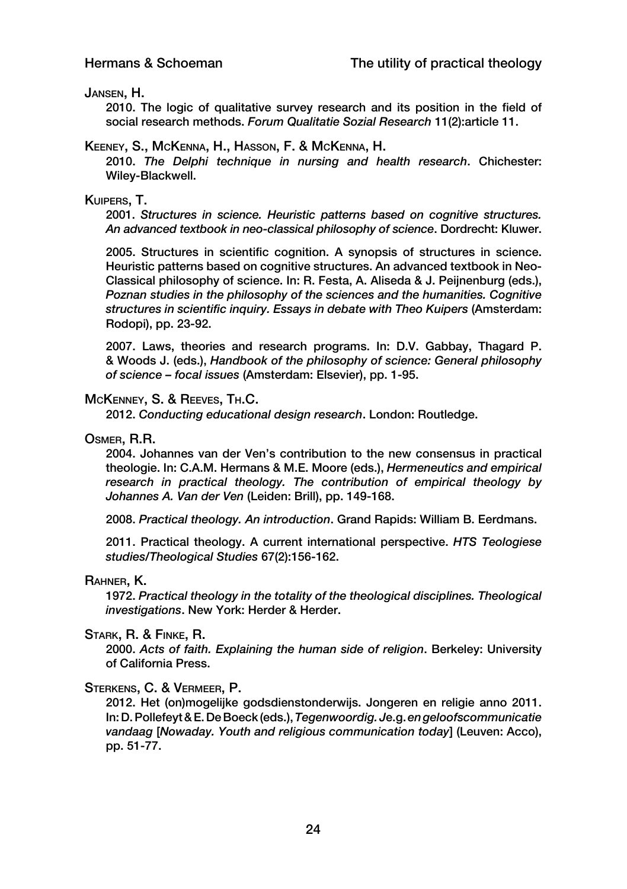#### Jansen, H.

2010. The logic of qualitative survey research and its position in the field of social research methods. *Forum Qualitatie Sozial Research* 11(2):article 11.

#### Keeney, S., McKenna, H., Hasson, F. & McKenna, H.

2010. *The Delphi technique in nursing and health research*. Chichester: Wiley-Blackwell.

#### Kuipers, T.

2001. *Structures in science. Heuristic patterns based on cognitive structures. An advanced textbook in neo-classical philosophy of science*. Dordrecht: Kluwer.

2005. Structures in scientific cognition. A synopsis of structures in science. Heuristic patterns based on cognitive structures. An advanced textbook in Neo-Classical philosophy of science. In: R. Festa, A. Aliseda & J. Peijnenburg (eds.), *Poznan studies in the philosophy of the sciences and the humanities. Cognitive structures in scientific inquiry. Essays in debate with Theo Kuipers* (Amsterdam: Rodopi), pp. 23-92.

2007. Laws, theories and research programs. In: D.V. Gabbay, Thagard P. & Woods J. (eds.), *Handbook of the philosophy of science: General philosophy of science – focal issues* (Amsterdam: Elsevier), pp. 1-95.

#### McKenney, S. & Reeves, Th.C.

2012. *Conducting educational design research*. London: Routledge.

#### Osmer, R.R.

2004. Johannes van der Ven's contribution to the new consensus in practical theologie. In: C.A.M. Hermans & M.E. Moore (eds.), *Hermeneutics and empirical research in practical theology. The contribution of empirical theology by Johannes A. Van der Ven* (Leiden: Brill), pp. 149-168.

2008. *Practical theology. An introduction*. Grand Rapids: William B. Eerdmans.

2011. Practical theology. A current international perspective. *HTS Teologiese studies/Theological Studies* 67(2):156-162.

#### Rahner, K.

1972. *Practical theology in the totality of the theological disciplines. Theological investigations*. New York: Herder & Herder.

#### Stark, R. & Finke, R.

2000. *Acts of faith. Explaining the human side of religion*. Berkeley: University of California Press.

#### Sterkens, C. & Vermeer, P.

2012. Het (on)mogelijke godsdienstonderwijs. Jongeren en religie anno 2011. In:D. Pollefeyt & E. De Boeck (eds.), *Tegenwoordig. J*e.g. *en geloofscommunicatie vandaag* [*Nowaday. Youth and religious communication today*] (Leuven: Acco), pp. 51-77.